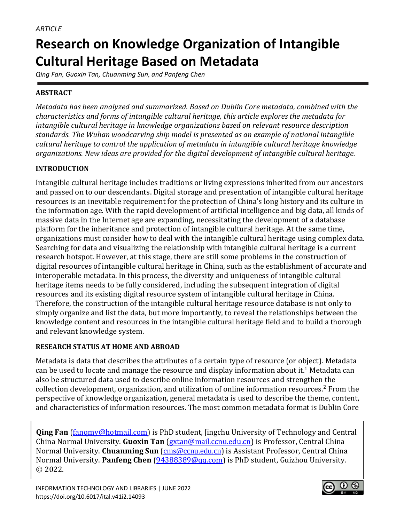# **Research on Knowledge Organization of Intangible Cultural Heritage Based on Metadata**

*Qing Fan, Guoxin Tan, Chuanming Sun, and Panfeng Chen*

# **ABSTRACT**

*Metadata has been analyzed and summarized. Based on Dublin Core metadata, combined with the characteristics and forms of intangible cultural heritage, this article explores the metadata for intangible cultural heritage in knowledge organizations based on relevant resource description standards. The Wuhan woodcarving ship model is presented as an example of national intangible cultural heritage to control the application of metadata in intangible cultural heritage knowledge organizations. New ideas are provided for the digital development of intangible cultural heritage.*

# **INTRODUCTION**

Intangible cultural heritage includes traditions or living expressions inherited from our ancestors and passed on to our descendants. Digital storage and presentation of intangible cultural heritage resources is an inevitable requirement for the protection of China's long history and its culture in the information age. With the rapid development of artificial intelligence and big data, all kinds of massive data in the Internet age are expanding, necessitating the development of a database platform for the inheritance and protection of intangible cultural heritage. At the same time, organizations must consider how to deal with the intangible cultural heritage using complex data. Searching for data and visualizing the relationship with intangible cultural heritage is a current research hotspot. However, at this stage, there are still some problems in the construction of digital resources of intangible cultural heritage in China, such as the establishment of accurate and interoperable metadata. In this process, the diversity and uniqueness of intangible cultural heritage items needs to be fully considered, including the subsequent integration of digital resources and its existing digital resource system of intangible cultural heritage in China. Therefore, the construction of the intangible cultural heritage resource database is not only to simply organize and list the data, but more importantly, to reveal the relationships between the knowledge content and resources in the intangible cultural heritage field and to build a thorough and relevant knowledge system.

## **RESEARCH STATUS AT HOME AND ABROAD**

Metadata is data that describes the attributes of a certain type of resource (or object). Metadata can be used to locate and manage the resource and display information about it.<sup>1</sup> Metadata can also be structured data used to describe online information resources and strengthen the collection development, organization, and utilization of online information resources.<sup>2</sup> From the perspective of knowledge organization, general metadata is used to describe the theme, content, and characteristics of information resources. The most common metadata format is Dublin Core

**Qing Fan** [\(fanqmy@hotmail.com\)](mailto:fanqmy@hotmail.com) is PhD student, Jingchu University of Technology and Central China Normal University. **Guoxin Tan** [\(gxtan@mail.ccnu.edu.cn\)](mailto:gxtan@mail.ccnu.edu.cn) is Professor, Central China Normal University. **Chuanming Sun** (cms@ccnu.edu.cn) is Assistant Professor, Central China Normal University. **Panfeng Chen** [\(94388389@qq.com\)](mailto:94388389@qq.com) is PhD student, Guizhou University. © 2022.

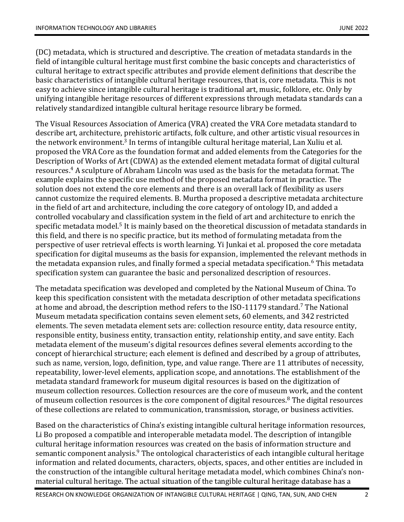(DC) metadata, which is structured and descriptive. The creation of metadata standards in the field of intangible cultural heritage must first combine the basic concepts and characteristics of cultural heritage to extract specific attributes and provide element definitions that describe the basic characteristics of intangible cultural heritage resources, that is, core metadata. This is not easy to achieve since intangible cultural heritage is traditional art, music, folklore, etc. Only by unifying intangible heritage resources of different expressions through metadata standards can a relatively standardized intangible cultural heritage resource library be formed.

The Visual Resources Association of America (VRA) created the VRA Core metadata standard to describe art, architecture, prehistoric artifacts, folk culture, and other artistic visual resources in the network environment.<sup>3</sup> In terms of intangible cultural heritage material, Lan Xuliu et al. proposed the VRA Core as the foundation format and added elements from the Categories for the Description of Works of Art (CDWA) as the extended element metadata format of digital cultural resources. <sup>4</sup> A sculpture of Abraham Lincoln was used as the basis for the metadata format. The example explains the specific use method of the proposed metadata format in practice. The solution does not extend the core elements and there is an overall lack of flexibility as users cannot customize the required elements. B. Murtha proposed a descriptive metadata architecture in the field of art and architecture, including the core category of ontology ID, and added a controlled vocabulary and classification system in the field of art and architecture to enrich the specific metadata model.<sup>5</sup> It is mainly based on the theoretical discussion of metadata standards in this field, and there is no specific practice, but its method of formulating metadata from the perspective of user retrieval effects is worth learning. Yi Junkai et al. proposed the core metadata specification for digital museums as the basis for expansion, implemented the relevant methods in the metadata expansion rules, and finally formed a special metadata specification.<sup>6</sup> This metadata specification system can guarantee the basic and personalized description of resources.

The metadata specification was developed and completed by the National Museum of China. To keep this specification consistent with the metadata description of other metadata specifications at home and abroad, the description method refers to the ISO-11179 standard.<sup>7</sup> The National Museum metadata specification contains seven element sets, 60 elements, and 342 restricted elements. The seven metadata element sets are: collection resource entity, data resource entity, responsible entity, business entity, transaction entity, relationship entity, and save entity. Each metadata element of the museum's digital resources defines several elements according to the concept of hierarchical structure; each element is defined and described by a group of attributes, such as name, version, logo, definition, type, and value range. There are 11 attributes of necessity, repeatability, lower-level elements, application scope, and annotations. The establishment of the metadata standard framework for museum digital resources is based on the digitization of museum collection resources. Collection resources are the core of museum work, and the content of museum collection resources is the core component of digital resources. $8$  The digital resources of these collections are related to communication, transmission, storage, or business activities.

Based on the characteristics of China's existing intangible cultural heritage information resources, Li Bo proposed a compatible and interoperable metadata model. The description of intangible cultural heritage information resources was created on the basis of information structure and semantic component analysis.<sup>9</sup> The ontological characteristics of each intangible cultural heritage information and related documents, characters, objects, spaces, and other entities are included in the construction of the intangible cultural heritage metadata model, which combines China's nonmaterial cultural heritage. The actual situation of the tangible cultural heritage database has a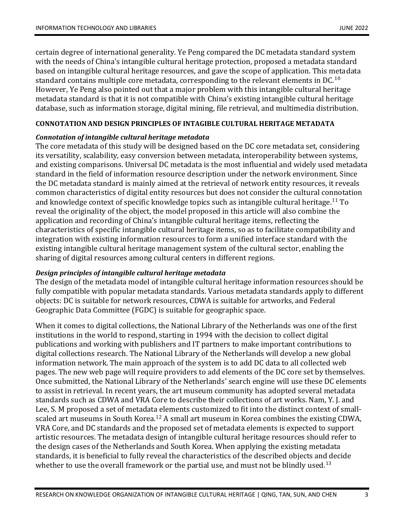certain degree of international generality. Ye Peng compared the DC metadata standard system with the needs of China's intangible cultural heritage protection, proposed a metadata standard based on intangible cultural heritage resources, and gave the scope of application. This metadata standard contains multiple core metadata, corresponding to the relevant elements in DC.<sup>10</sup> However, Ye Peng also pointed out that a major problem with this intangible cultural heritage metadata standard is that it is not compatible with China's existing intangible cultural heritage database, such as information storage, digital mining, file retrieval, and multimedia distribution.

## **CONNOTATION AND DESIGN PRINCIPLES OF INTAGIBLE CULTURAL HERITAGE METADATA**

#### *Connotation of intangible cultural heritage metadata*

The core metadata of this study will be designed based on the DC core metadata set, considering its versatility, scalability, easy conversion between metadata, interoperability between systems, and existing comparisons. Universal DC metadata is the most influential and widely used metadata standard in the field of information resource description under the network environment. Since the DC metadata standard is mainly aimed at the retrieval of network entity resources, it reveals common characteristics of digital entity resources but does not consider the cultural connotation and knowledge context of specific knowledge topics such as intangible cultural heritage. <sup>11</sup> To reveal the originality of the object, the model proposed in this article will also combine the application and recording of China's intangible cultural heritage items, reflecting the characteristics of specific intangible cultural heritage items, so as to facilitate compatibility and integration with existing information resources to form a unified interface standard with the existing intangible cultural heritage management system of the cultural sector, enabling the sharing of digital resources among cultural centers in different regions.

## *Design principles of intangible cultural heritage metadata*

The design of the metadata model of intangible cultural heritage information resources should be fully compatible with popular metadata standards. Various metadata standards apply to different objects: DC is suitable for network resources, CDWA is suitable for artworks, and Federal Geographic Data Committee (FGDC) is suitable for geographic space.

When it comes to digital collections, the National Library of the Netherlands was one of the first institutions in the world to respond, starting in 1994 with the decision to collect digital publications and working with publishers and IT partners to make important contributions to digital collections research. The National Library of the Netherlands will develop a new global information network. The main approach of the system is to add DC data to all collected web pages. The new web page will require providers to add elements of the DC core set by themselves. Once submitted, the National Library of the Netherlands' search engine will use these DC elements to assist in retrieval. In recent years, the art museum community has adopted several metadata standards such as CDWA and VRA Core to describe their collections of art works. Nam, Y. J. and Lee, S. M proposed a set of metadata elements customized to fit into the distinct context of smallscaled art museums in South Korea.<sup>12</sup> A small art museum in Korea combines the existing CDWA, VRA Core, and DC standards and the proposed set of metadata elements is expected to support artistic resources. The metadata design of intangible cultural heritage resources should refer to the design cases of the Netherlands and South Korea. When applying the existing metadata standards, it is beneficial to fully reveal the characteristics of the described objects and decide whether to use the overall framework or the partial use, and must not be blindly used.<sup>13</sup>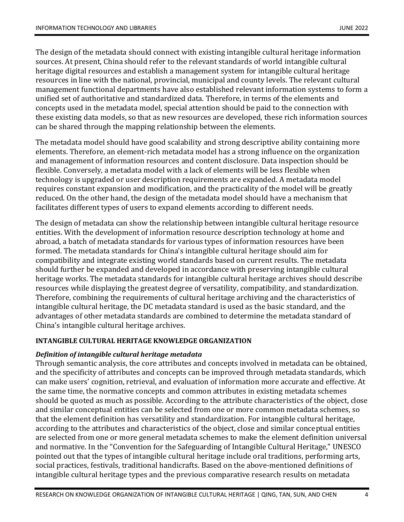The design of the metadata should connect with existing intangible cultural heritage information sources. At present, China should refer to the relevant standards of world intangible cultural heritage digital resources and establish a management system for intangible cultural heritage resources in line with the national, provincial, municipal and county levels. The relevant cultural management functional departments have also established relevant information systems to form a unified set of authoritative and standardized data. Therefore, in terms of the elements and concepts used in the metadata model, special attention should be paid to the connection with these existing data models, so that as new resources are developed, these rich information sources can be shared through the mapping relationship between the elements.

The metadata model should have good scalability and strong descriptive ability containing more elements. Therefore, an element-rich metadata model has a strong influence on the organization and management of information resources and content disclosure. Data inspection should be flexible. Conversely, a metadata model with a lack of elements will be less flexible when technology is upgraded or user description requirements are expanded. A metadata model requires constant expansion and modification, and the practicality of the model will be greatly reduced. On the other hand, the design of the metadata model should have a mechanism that facilitates different types of users to expand elements according to different needs.

The design of metadata can show the relationship between intangible cultural heritage resource entities. With the development of information resource description technology at home and abroad, a batch of metadata standards for various types of information resources have been formed. The metadata standards for China's intangible cultural heritage should aim for compatibility and integrate existing world standards based on current results. The metadata should further be expanded and developed in accordance with preserving intangible cultural heritage works. The metadata standards for intangible cultural heritage archives should describe resources while displaying the greatest degree of versatility, compatibility, and standardization. Therefore, combining the requirements of cultural heritage archiving and the characteristics of intangible cultural heritage, the DC metadata standard is used as the basic standard, and the advantages of other metadata standards are combined to determine the metadata standard of China's intangible cultural heritage archives.

## **INTANGIBLE CULTURAL HERITAGE KNOWLEDGE ORGANIZATION**

## *Definition of intangible cultural heritage metadata*

Through semantic analysis, the core attributes and concepts involved in metadata can be obtained, and the specificity of attributes and concepts can be improved through metadata standards, which can make users' cognition, retrieval, and evaluation of information more accurate and effective. At the same time, the normative concepts and common attributes in existing metadata schemes should be quoted as much as possible. According to the attribute characteristics of the object, close and similar conceptual entities can be selected from one or more common metadata schemes, so that the element definition has versatility and standardization. For intangible cultural heritage, according to the attributes and characteristics of the object, close and similar conceptual entities are selected from one or more general metadata schemes to make the element definition universal and normative. In the "Convention for the Safeguarding of Intangible Cultural Heritage," UNESCO pointed out that the types of intangible cultural heritage include oral traditions, performing arts, social practices, festivals, traditional handicrafts. Based on the above-mentioned definitions of intangible cultural heritage types and the previous comparative research results on metadata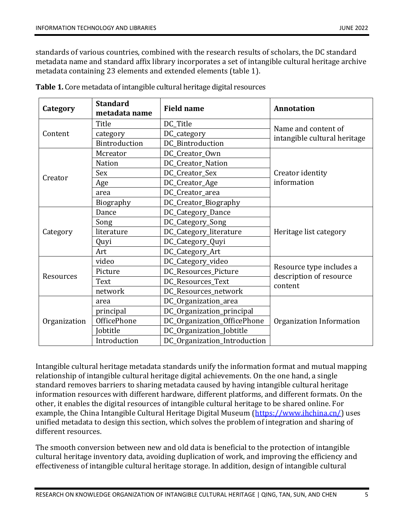standards of various countries, combined with the research results of scholars, the DC standard metadata name and standard affix library incorporates a set of intangible cultural heritage archive metadata containing 23 elements and extended elements (table 1).

| Category     | <b>Standard</b><br>metadata name | <b>Field name</b>            | <b>Annotation</b>                                              |
|--------------|----------------------------------|------------------------------|----------------------------------------------------------------|
| Content      | Title                            | DC_Title                     | Name and content of<br>intangible cultural heritage            |
|              | category                         | DC_category                  |                                                                |
|              | Bintroduction                    | DC_Bintroduction             |                                                                |
| Creator      | Mcreator                         | DC_Creator_Own               | Creator identity<br>information                                |
|              | <b>Nation</b>                    | DC_Creator_Nation            |                                                                |
|              | Sex                              | DC_Creator_Sex               |                                                                |
|              | Age                              | DC_Creator_Age               |                                                                |
|              | area                             | DC_Creator_area              |                                                                |
|              | Biography                        | DC_Creator_Biography         |                                                                |
| Category     | Dance                            | DC_Category_Dance            | Heritage list category                                         |
|              | Song                             | DC_Category_Song             |                                                                |
|              | literature                       | DC_Category_literature       |                                                                |
|              | Quyi                             | DC_Category_Quyi             |                                                                |
|              | Art                              | DC_Category_Art              |                                                                |
| Resources    | video                            | DC_Category_video            | Resource type includes a<br>description of resource<br>content |
|              | Picture                          | DC_Resources_Picture         |                                                                |
|              | Text                             | DC_Resources_Text            |                                                                |
|              | network                          | DC_Resources_network         |                                                                |
| Organization | area                             | DC_Organization_area         | Organization Information                                       |
|              | principal                        | DC_Organization_principal    |                                                                |
|              | OfficePhone                      | DC_Organization_OfficePhone  |                                                                |
|              | Jobtitle                         | DC_Organization_Jobtitle     |                                                                |
|              | Introduction                     | DC_Organization_Introduction |                                                                |

**Table 1.** Core metadata of intangible cultural heritage digital resources

Intangible cultural heritage metadata standards unify the information format and mutual mapping relationship of intangible cultural heritage digital achievements. On the one hand, a single standard removes barriers to sharing metadata caused by having intangible cultural heritage information resources with different hardware, different platforms, and different formats. On the other, it enables the digital resources of intangible cultural heritage to be shared online. For example, the China Intangible Cultural Heritage Digital Museum [\(https://www.ihchina.cn/\)](https://www.ihchina.cn/) uses unified metadata to design this section, which solves the problem of integration and sharing of different resources.

The smooth conversion between new and old data is beneficial to the protection of intangible cultural heritage inventory data, avoiding duplication of work, and improving the efficiency and effectiveness of intangible cultural heritage storage. In addition, design of intangible cultural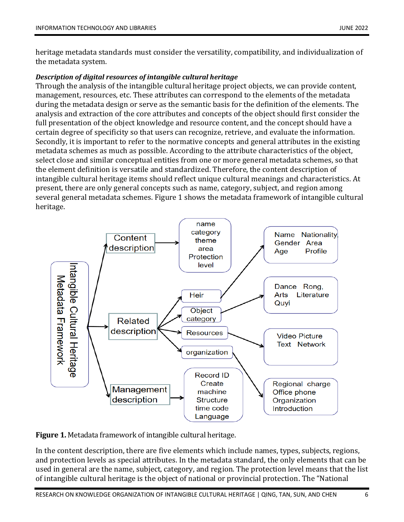heritage metadata standards must consider the versatility, compatibility, and individualization of the metadata system.

## *Description of digital resources of intangible cultural heritage*

Through the analysis of the intangible cultural heritage project objects, we can provide content, management, resources, etc. These attributes can correspond to the elements of the metadata during the metadata design or serve as the semantic basis for the definition of the elements. The analysis and extraction of the core attributes and concepts of the object should first consider the full presentation of the object knowledge and resource content, and the concept should have a certain degree of specificity so that users can recognize, retrieve, and evaluate the information. Secondly, it is important to refer to the normative concepts and general attributes in the existing metadata schemes as much as possible. According to the attribute characteristics of the object, select close and similar conceptual entities from one or more general metadata schemes, so that the element definition is versatile and standardized. Therefore, the content description of intangible cultural heritage items should reflect unique cultural meanings and characteristics. At present, there are only general concepts such as name, category, subject, and region among several general metadata schemes. Figure 1 shows the metadata framework of intangible cultural heritage.



**Figure 1.** Metadata framework of intangible cultural heritage.

In the content description, there are five elements which include names, types, subjects, regions, and protection levels as special attributes. In the metadata standard, the only elements that can be used in general are the name, subject, category, and region. The protection level means that the list of intangible cultural heritage is the object of national or provincial protection. The "National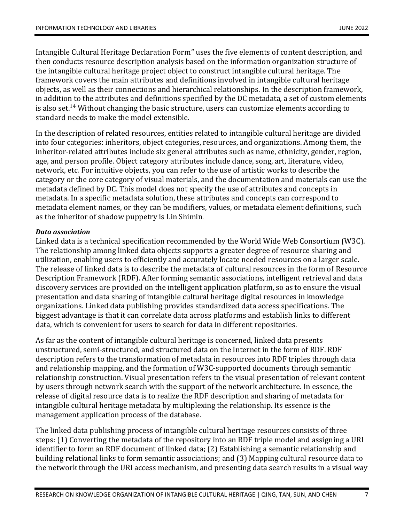Intangible Cultural Heritage Declaration Form" uses the five elements of content description, and then conducts resource description analysis based on the information organization structure of the intangible cultural heritage project object to construct intangible cultural heritage. The framework covers the main attributes and definitions involved in intangible cultural heritage objects, as well as their connections and hierarchical relationships. In the description framework, in addition to the attributes and definitions specified by the DC metadata, a set of custom elements is also set. $^{14}$  Without changing the basic structure, users can customize elements according to standard needs to make the model extensible.

In the description of related resources, entities related to intangible cultural heritage are divided into four categories: inheritors, object categories, resources, and organizations. Among them, the inheritor-related attributes include six general attributes such as name, ethnicity, gender, region, age, and person profile. Object category attributes include dance, song, art, literature, video, network, etc. For intuitive objects, you can refer to the use of artistic works to describe the category or the core category of visual materials, and the documentation and materials can use the metadata defined by DC. This model does not specify the use of attributes and concepts in metadata. In a specific metadata solution, these attributes and concepts can correspond to metadata element names, or they can be modifiers, values, or metadata element definitions, such as the inheritor of shadow puppetry is Lin Shimin.

## *Data association*

Linked data is a technical specification recommended by the World Wide Web Consortium (W3C). The relationship among linked data objects supports a greater degree of resource sharing and utilization, enabling users to efficiently and accurately locate needed resources on a larger scale. The release of linked data is to describe the metadata of cultural resources in the form of Resource Description Framework (RDF). After forming semantic associations, intelligent retrieval and data discovery services are provided on the intelligent application platform, so as to ensure the visual presentation and data sharing of intangible cultural heritage digital resources in knowledge organizations. Linked data publishing provides standardized data access specifications. The biggest advantage is that it can correlate data across platforms and establish links to different data, which is convenient for users to search for data in different repositories.

As far as the content of intangible cultural heritage is concerned, linked data presents unstructured, semi-structured, and structured data on the Internet in the form of RDF. RDF description refers to the transformation of metadata in resources into RDF triples through data and relationship mapping, and the formation of W3C-supported documents through semantic relationship construction. Visual presentation refers to the visual presentation of relevant content by users through network search with the support of the network architecture. In essence, the release of digital resource data is to realize the RDF description and sharing of metadata for intangible cultural heritage metadata by multiplexing the relationship. Its essence is the management application process of the database.

The linked data publishing process of intangible cultural heritage resources consists of three steps: (1) Converting the metadata of the repository into an RDF triple model and assigning a URI identifier to form an RDF document of linked data; (2) Establishing a semantic relationship and building relational links to form semantic associations; and (3) Mapping cultural resource data to the network through the URI access mechanism, and presenting data search results in a visual way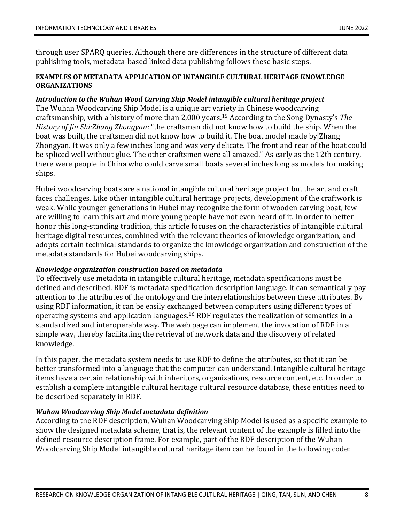through user SPARQ queries. Although there are differences in the structure of different data publishing tools, metadata-based linked data publishing follows these basic steps.

#### **EXAMPLES OF METADATA APPLICATION OF INTANGIBLE CULTURAL HERITAGE KNOWLEDGE ORGANIZATIONS**

## *Introduction to the Wuhan Wood Carving Ship Model intangible cultural heritage project*

The Wuhan Woodcarving Ship Model is a unique art variety in Chinese woodcarving craftsmanship, with a history of more than 2,000 years.<sup>15</sup> According to the Song Dynasty's *The History of Jin Shi·Zhang Zhongyan:* "the craftsman did not know how to build the ship. When the boat was built, the craftsmen did not know how to build it. The boat model made by Zhang Zhongyan. It was only a few inches long and was very delicate. The front and rear of the boat could be spliced well without glue. The other craftsmen were all amazed." As early as the 12th century, there were people in China who could carve small boats several inches long as models for making ships.

Hubei woodcarving boats are a national intangible cultural heritage project but the art and craft faces challenges. Like other intangible cultural heritage projects, development of the craftwork is weak. While younger generations in Hubei may recognize the form of wooden carving boat, few are willing to learn this art and more young people have not even heard of it. In order to better honor this long-standing tradition, this article focuses on the characteristics of intangible cultural heritage digital resources, combined with the relevant theories of knowledge organization, and adopts certain technical standards to organize the knowledge organization and construction of the metadata standards for Hubei woodcarving ships.

#### *Knowledge organization construction based on metadata*

To effectively use metadata in intangible cultural heritage, metadata specifications must be defined and described. RDF is metadata specification description language. It can semantically pay attention to the attributes of the ontology and the interrelationships between these attributes. By using RDF information, it can be easily exchanged between computers using different types of operating systems and application languages.<sup>16</sup> RDF regulates the realization of semantics in a standardized and interoperable way. The web page can implement the invocation of RDF in a simple way, thereby facilitating the retrieval of network data and the discovery of related knowledge.

In this paper, the metadata system needs to use RDF to define the attributes, so that it can be better transformed into a language that the computer can understand. Intangible cultural heritage items have a certain relationship with inheritors, organizations, resource content, etc. In order to establish a complete intangible cultural heritage cultural resource database, these entities need to be described separately in RDF.

## *Wuhan Woodcarving Ship Model metadata definition*

According to the RDF description, Wuhan Woodcarving Ship Model is used as a specific example to show the designed metadata scheme, that is, the relevant content of the example is filled into the defined resource description frame. For example, part of the RDF description of the Wuhan Woodcarving Ship Model intangible cultural heritage item can be found in the following code: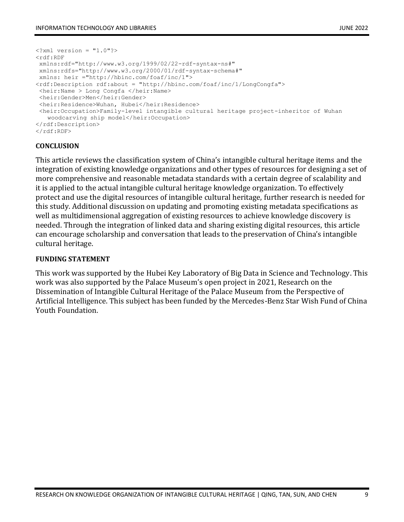```
\langle ?xm1 version = "1.0"?>
<rdf:RDF
 xmlns:rdf="http://www.w3.org/1999/02/22-rdf-syntax-ns#" 
 xmlns:rdfs="http://www.w3.org/2000/01/rdf-syntax-schema#"
xmlns: heir ="http://hbinc.com/foaf/inc/1">
<rdf:Description rdf:about = "http://hbinc.com/foaf/inc/1/LongCongfa">
<heir:Name > Long Congfa </heir:Name>
 <heir:Gender>Men</heir:Gender>
 <heir:Residence>Wuhan, Hubei</heir:Residence>
 <heir:Occupation>Family-level intangible cultural heritage project-inheritor of Wuhan 
   woodcarving ship model</heir:Occupation>
</rdf:Description>
\langle/rdf:RDF>
```
#### **CONCLUSION**

This article reviews the classification system of China's intangible cultural heritage items and the integration of existing knowledge organizations and other types of resources for designing a set of more comprehensive and reasonable metadata standards with a certain degree of scalability and it is applied to the actual intangible cultural heritage knowledge organization. To effectively protect and use the digital resources of intangible cultural heritage, further research is needed for this study. Additional discussion on updating and promoting existing metadata specifications as well as multidimensional aggregation of existing resources to achieve knowledge discovery is needed. Through the integration of linked data and sharing existing digital resources, this article can encourage scholarship and conversation that leads to the preservation of China's intangible cultural heritage.

#### **FUNDING STATEMENT**

This work was supported by the Hubei Key Laboratory of Big Data in Science and Technology. This work was also supported by the Palace Museum's open project in 2021, Research on the Dissemination of Intangible Cultural Heritage of the Palace Museum from the Perspective of Artificial Intelligence. This subject has been funded by the Mercedes-Benz Star Wish Fund of China Youth Foundation.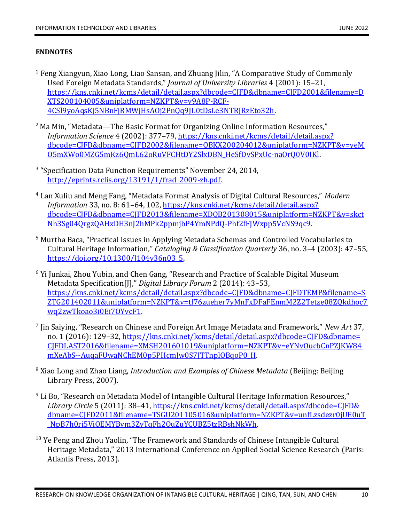#### **ENDNOTES**

- <sup>1</sup> Feng Xiangyun, Xiao Long, Liao Sansan, and Zhuang Jilin, "A Comparative Study of Commonly Used Foreign Metadata Standards," *Journal of University Libraries* 4 (2001): 15–21, [https://kns.cnki.net/kcms/detail/detail.aspx?dbcode=CJFD&dbname=CJFD2001&filename=D](https://kns.cnki.net/kcms/detail/detail.aspx?dbcode=CJFD&dbname=CJFD2001&filename=DXTS200104005&uniplatform=NZKPT&v=v9A8P-RCF-4CSl9yoAqsKj5NBnFjRMWjHsAOj2PnQq9JL0tDsLe3NTRJRzEto32h) [XTS200104005&uniplatform=NZKPT&v=v9A8P-RCF-](https://kns.cnki.net/kcms/detail/detail.aspx?dbcode=CJFD&dbname=CJFD2001&filename=DXTS200104005&uniplatform=NZKPT&v=v9A8P-RCF-4CSl9yoAqsKj5NBnFjRMWjHsAOj2PnQq9JL0tDsLe3NTRJRzEto32h)[4CSl9yoAqsKj5NBnFjRMWjHsAOj2PnQq9JL0tDsLe3NTRJRzEto32h.](https://kns.cnki.net/kcms/detail/detail.aspx?dbcode=CJFD&dbname=CJFD2001&filename=DXTS200104005&uniplatform=NZKPT&v=v9A8P-RCF-4CSl9yoAqsKj5NBnFjRMWjHsAOj2PnQq9JL0tDsLe3NTRJRzEto32h)
- $2$  Ma Min, "Metadata—The Basic Format for Organizing Online Information Resources," *Information Science* 4 (2002): 377–79, [https://kns.cnki.net/kcms/detail/detail.aspx?](https://kns.cnki.net/kcms/detail/detail.aspx?dbcode=CJFD&dbname=CJFD2002&filename=QBKX200204012&uniplatform=NZKPT&v=yeMO5mXWo0MZG5mKz6QmL62oRuVFCHtDY2SlxDBN_HeSfDvSPxUc-naOrQ0V0IKl) [dbcode=CJFD&dbname=CJFD2002&filename=QBKX200204012&uniplatform=NZKPT&v=yeM](https://kns.cnki.net/kcms/detail/detail.aspx?dbcode=CJFD&dbname=CJFD2002&filename=QBKX200204012&uniplatform=NZKPT&v=yeMO5mXWo0MZG5mKz6QmL62oRuVFCHtDY2SlxDBN_HeSfDvSPxUc-naOrQ0V0IKl) [O5mXWo0MZG5mKz6QmL62oRuVFCHtDY2SlxDBN\\_HeSfDvSPxUc-naOrQ0V0IKl.](https://kns.cnki.net/kcms/detail/detail.aspx?dbcode=CJFD&dbname=CJFD2002&filename=QBKX200204012&uniplatform=NZKPT&v=yeMO5mXWo0MZG5mKz6QmL62oRuVFCHtDY2SlxDBN_HeSfDvSPxUc-naOrQ0V0IKl)
- <sup>3</sup> "Specification Data Function Requirements" November 24, 2014, [http://eprints.rclis.org/13191/1/frad\\_2009-zh.pdf.](http://eprints.rclis.org/13191/1/frad_2009-zh.pdf)
- <sup>4</sup> Lan Xuliu and Meng Fang, "Metadata Format Analysis of Digital Cultural Resources," *Modern Information* 33, no. 8: 61–64, 102, [https://kns.cnki.net/kcms/detail/detail.aspx?](https://kns.cnki.net/kcms/detail/detail.aspx?dbcode=CJFD&dbname=CJFD2013&filename=XDQB201308015&uniplatform=NZKPT&v=skctNh3Sg04QrgzQAHxDH3nJ2hMPk2ppmjbP4YmNPdQ-Phf2fFJWxpp5VcNS9qc9) [dbcode=CJFD&dbname=CJFD2013&filename=XDQB201308015&uniplatform=NZKPT&v=skct](https://kns.cnki.net/kcms/detail/detail.aspx?dbcode=CJFD&dbname=CJFD2013&filename=XDQB201308015&uniplatform=NZKPT&v=skctNh3Sg04QrgzQAHxDH3nJ2hMPk2ppmjbP4YmNPdQ-Phf2fFJWxpp5VcNS9qc9) [Nh3Sg04QrgzQAHxDH3nJ2hMPk2ppmjbP4YmNPdQ-Phf2fFJWxpp5VcNS9qc9.](https://kns.cnki.net/kcms/detail/detail.aspx?dbcode=CJFD&dbname=CJFD2013&filename=XDQB201308015&uniplatform=NZKPT&v=skctNh3Sg04QrgzQAHxDH3nJ2hMPk2ppmjbP4YmNPdQ-Phf2fFJWxpp5VcNS9qc9)
- <sup>5</sup> Murtha Baca, "Practical Issues in Applying Metadata Schemas and Controlled Vocabularies to Cultural Heritage Information," *Cataloging & Classification Quarterly* 36, no. 3–4 (2003): 47–55, [https://doi.org/10.1300/J104v36n03\\_5.](https://doi.org/10.1300/J104v36n03_5)
- <sup>6</sup> Yi Junkai, Zhou Yubin, and Chen Gang, "Research and Practice of Scalable Digital Museum Metadata Specification[J]," *Digital Library Forum* 2 (2014): 43–53, [https://kns.cnki.net/kcms/detail/detail.aspx?dbcode=CJFD&dbname=CJFDTEMP&filename=S](https://kns.cnki.net/kcms/detail/detail.aspx?dbcode=CJFD&dbname=CJFDTEMP&filename=SZTG201402011&uniplatform=NZKPT&v=tf76zueher7yMnFxDFaFEnmM2Z2Tetze08ZQkdhoc7wq2zwTkoao3i0Ei7OYvcF1) [ZTG201402011&uniplatform=NZKPT&v=tf76zueher7yMnFxDFaFEnmM2Z2Tetze08ZQkdhoc7](https://kns.cnki.net/kcms/detail/detail.aspx?dbcode=CJFD&dbname=CJFDTEMP&filename=SZTG201402011&uniplatform=NZKPT&v=tf76zueher7yMnFxDFaFEnmM2Z2Tetze08ZQkdhoc7wq2zwTkoao3i0Ei7OYvcF1) [wq2zwTkoao3i0Ei7OYvcF1.](https://kns.cnki.net/kcms/detail/detail.aspx?dbcode=CJFD&dbname=CJFDTEMP&filename=SZTG201402011&uniplatform=NZKPT&v=tf76zueher7yMnFxDFaFEnmM2Z2Tetze08ZQkdhoc7wq2zwTkoao3i0Ei7OYvcF1)
- 7 Jin Saiying, "Research on Chinese and Foreign Art Image Metadata and Framework," *New Art* 37, no. 1 (2016): 129-32[, https://kns.cnki.net/kcms/detail/detail.aspx?dbcode=CJFD&dbname=](https://kns.cnki.net/kcms/detail/detail.aspx?dbcode=CJFD&dbname=CJFDLAST2016&filename=XMSH201601019&uniplatform=NZKPT&v=eYNvOucbCnPZJKW84mXeAbS--AuqaFUwaNChEM0p5PHcmJw0S7JTTnplOBqoP0_H) [CJFDLAST2016&filename=XMSH201601019&uniplatform=NZKPT&v=eYNvOucbCnPZJKW84](https://kns.cnki.net/kcms/detail/detail.aspx?dbcode=CJFD&dbname=CJFDLAST2016&filename=XMSH201601019&uniplatform=NZKPT&v=eYNvOucbCnPZJKW84mXeAbS--AuqaFUwaNChEM0p5PHcmJw0S7JTTnplOBqoP0_H) [mXeAbS--AuqaFUwaNChEM0p5PHcmJw0S7JTTnplOBqoP0\\_H.](https://kns.cnki.net/kcms/detail/detail.aspx?dbcode=CJFD&dbname=CJFDLAST2016&filename=XMSH201601019&uniplatform=NZKPT&v=eYNvOucbCnPZJKW84mXeAbS--AuqaFUwaNChEM0p5PHcmJw0S7JTTnplOBqoP0_H)
- <sup>8</sup> Xiao Long and Zhao Liang, *Introduction and Examples of Chinese Metadata* (Beijing: Beijing Library Press, 2007).
- $9$  Li Bo, "Research on Metadata Model of Intangible Cultural Heritage Information Resources," *Library Circle* 5 (2011): 38–41[, https://kns.cnki.net/kcms/detail/detail.aspx?dbcode=CJFD&](https://kns.cnki.net/kcms/detail/detail.aspx?dbcode=CJFD&dbname=CJFD2011&filename=TSGU201105016&uniplatform=NZKPT&v=unfLzsdezr0jUE0uT_NpB7h0ri5ViOEMYBvm3ZyTqFh2QuZuYCUBZ5tzRBshNkWh) [dbname=CJFD2011&filename=TSGU201105016&uniplatform=NZKPT&v=unfLzsdezr0jUE0uT](https://kns.cnki.net/kcms/detail/detail.aspx?dbcode=CJFD&dbname=CJFD2011&filename=TSGU201105016&uniplatform=NZKPT&v=unfLzsdezr0jUE0uT_NpB7h0ri5ViOEMYBvm3ZyTqFh2QuZuYCUBZ5tzRBshNkWh) [\\_NpB7h0ri5ViOEMYBvm3ZyTqFh2QuZuYCUBZ5tzRBshNkWh.](https://kns.cnki.net/kcms/detail/detail.aspx?dbcode=CJFD&dbname=CJFD2011&filename=TSGU201105016&uniplatform=NZKPT&v=unfLzsdezr0jUE0uT_NpB7h0ri5ViOEMYBvm3ZyTqFh2QuZuYCUBZ5tzRBshNkWh)
- <sup>10</sup> Ye Peng and Zhou Yaolin, "The Framework and Standards of Chinese Intangible Cultural Heritage Metadata," 2013 International Conference on Applied Social Science Research (Paris: Atlantis Press, 2013).